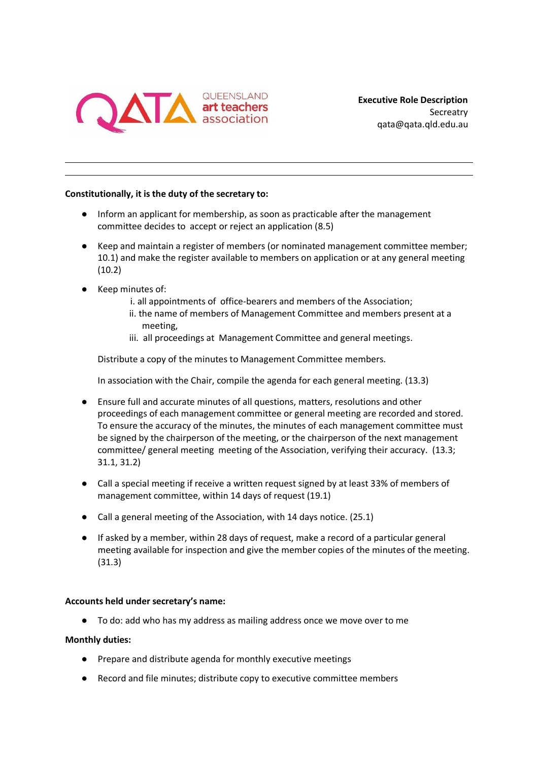

#### **Constitutionally, it is the duty of the secretary to:**

- Inform an applicant for membership, as soon as practicable after the management committee decides to accept or reject an application (8.5)
- Keep and maintain a register of members (or nominated management committee member; 10.1) and make the register available to members on application or at any general meeting (10.2)
- Keep minutes of:
	- i. all appointments of office-bearers and members of the Association;
	- ii. the name of members of Management Committee and members present at a meeting,
	- iii. all proceedings at Management Committee and general meetings.

Distribute a copy of the minutes to Management Committee members.

In association with the Chair, compile the agenda for each general meeting. (13.3)

- Ensure full and accurate minutes of all questions, matters, resolutions and other proceedings of each management committee or general meeting are recorded and stored. To ensure the accuracy of the minutes, the minutes of each management committee must be signed by the chairperson of the meeting, or the chairperson of the next management committee/ general meeting meeting of the Association, verifying their accuracy. (13.3; 31.1, 31.2)
- Call a special meeting if receive a written request signed by at least 33% of members of management committee, within 14 days of request (19.1)
- Call a general meeting of the Association, with 14 days notice. (25.1)
- If asked by a member, within 28 days of request, make a record of a particular general meeting available for inspection and give the member copies of the minutes of the meeting. (31.3)

### **Accounts held under secretary's name:**

● To do: add who has my address as mailing address once we move over to me

### **Monthly duties:**

- Prepare and distribute agenda for monthly executive meetings
- Record and file minutes; distribute copy to executive committee members